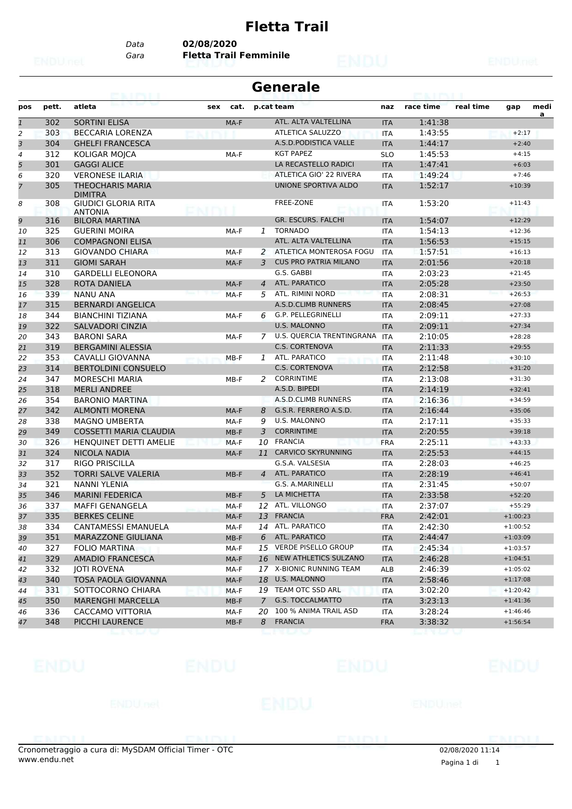## **Fletta Trail**

*Data* **02/08/2020**

*Gara* **Fletta Trail Femminile**

| Generale |  |
|----------|--|
|----------|--|

| pos            | pett. | atleta                                       | sex    | cat.   |                | p.cat team                          | naz        | race time          | real time | gap        | medi<br>a |
|----------------|-------|----------------------------------------------|--------|--------|----------------|-------------------------------------|------------|--------------------|-----------|------------|-----------|
| $\mathbf{1}$   | 302   | <b>SORTINI ELISA</b>                         |        | MA-F   |                | ATL. ALTA VALTELLINA                | <b>ITA</b> | 1:41:38            |           |            |           |
| $\overline{a}$ | 303   | <b>BECCARIA LORENZA</b>                      |        |        |                | <b>ATLETICA SALUZZO</b>             | <b>ITA</b> | 1:43:55            |           | $+2:17$    |           |
| З              | 304   | <b>GHELFI FRANCESCA</b>                      |        |        |                | A.S.D. PODISTICA VALLE              | <b>ITA</b> | 1:44:17            |           | $+2:40$    |           |
| 4              | 312   | KOLIGAR MOJCA                                |        | MA-F   |                | <b>KGT PAPEZ</b>                    | <b>SLO</b> | 1:45:53            |           | $+4:15$    |           |
| 5              | 301   | <b>GAGGI ALICE</b>                           |        |        |                | LA RECASTELLO RADICI                | <b>ITA</b> | 1:47:41            |           | $+6:03$    |           |
| 6              | 320   | <b>VERONESE ILARIA</b>                       |        |        |                | ATLETICA GIO' 22 RIVERA             | <b>ITA</b> | 1:49:24            |           | $+7:46$    |           |
| $\overline{7}$ | 305   | <b>THEOCHARIS MARIA</b><br><b>DIMITRA</b>    |        |        |                | UNIONE SPORTIVA ALDO                | <b>ITA</b> | 1:52:17            |           | $+10:39$   |           |
| 8              | 308   | <b>GIUDICI GLORIA RITA</b><br><b>ANTONIA</b> | NU TVI |        |                | <b>FREE-ZONE</b>                    | ITA        | 1:53:20            |           | $+11:43$   |           |
| 9              | 316   | <b>BILORA MARTINA</b>                        |        |        |                | GR. ESCURS. FALCHI                  | <b>ITA</b> | 1:54:07            |           | $+12:29$   |           |
| 10             | 325   | <b>GUERINI MOIRA</b>                         |        | MA-F   |                | 1 TORNADO                           | <b>ITA</b> | 1:54:13            |           | $+12:36$   |           |
| 11             | 306   | <b>COMPAGNONI ELISA</b>                      |        |        |                | ATL. ALTA VALTELLINA                | <b>ITA</b> | 1:56:53            |           | $+15:15$   |           |
| 12             | 313   | <b>GIOVANDO CHIARA</b>                       |        | MA-F   | 2              | ATLETICA MONTEROSA FOGU             | <b>ITA</b> | 1:57:51            |           | $+16:13$   |           |
| 13             | 311   | <b>GIOMI SARAH</b>                           |        | MA-F   | 3              | <b>CUS PRO PATRIA MILANO</b>        | <b>ITA</b> | 2:01:56            |           | $+20:18$   |           |
| 14             | 310   | <b>GARDELLI ELEONORA</b>                     |        |        |                | G.S. GABBI                          | <b>ITA</b> | 2:03:23            |           | $+21:45$   |           |
| 15             | 328   | <b>ROTA DANIELA</b>                          |        | MA-F   | $\overline{4}$ | ATL. PARATICO                       | <b>ITA</b> | 2:05:28            |           | $+23:50$   |           |
| 16             | 339   | <b>NANU ANA</b>                              |        | MA-F   | 5              | ATL. RIMINI NORD                    | <b>ITA</b> | 2:08:31            |           | $+26:53$   |           |
| 17             | 315   | <b>BERNARDI ANGELICA</b>                     |        |        |                | A.S.D.CLIMB RUNNERS                 | <b>ITA</b> | 2:08:45            |           | $+27:08$   |           |
| 18             | 344   | <b>BIANCHINI TIZIANA</b>                     |        | MA-F   | 6              | G.P. PELLEGRINELLI                  | <b>ITA</b> | 2:09:11            |           | $+27:33$   |           |
| 19             | 322   | <b>SALVADORI CINZIA</b>                      |        |        |                | <b>U.S. MALONNO</b>                 | <b>ITA</b> | 2:09:11            |           | $+27:34$   |           |
| 20             | 343   | <b>BARONI SARA</b>                           |        | MA-F   | $\overline{7}$ | U.S. QUERCIA TRENTINGRANA           | <b>ITA</b> | 2:10:05            |           | $+28:28$   |           |
| 21             | 319   | <b>BERGAMINI ALESSIA</b>                     |        |        |                | <b>C.S. CORTENOVA</b>               | <b>ITA</b> | 2:11:33            |           | $+29:55$   |           |
| 22             | 353   | CAVALLI GIOVANNA                             |        | MB-F   |                | 1 ATL. PARATICO                     | <b>ITA</b> | 2:11:48            |           | $+30:10$   |           |
| 23             | 314   | <b>BERTOLDINI CONSUELO</b>                   |        |        |                | <b>C.S. CORTENOVA</b>               | <b>ITA</b> | 2:12:58            |           | $+31:20$   |           |
| 24             | 347   | <b>MORESCHI MARIA</b>                        |        | MB-F   | 2              | <b>CORRINTIME</b>                   | <b>ITA</b> | 2:13:08            |           | $+31:30$   |           |
| 25             | 318   | <b>MERLI ANDREE</b>                          |        |        |                | A.S.D. BIPEDI                       | <b>ITA</b> | 2:14:19            |           | $+32:41$   |           |
| 26             | 354   | <b>BARONIO MARTINA</b>                       |        |        |                | A.S.D.CLIMB RUNNERS                 | <b>ITA</b> | 2:16:36            |           | $+34:59$   |           |
| 27             | 342   | <b>ALMONTI MORENA</b>                        |        | MA-F   | 8              | G.S.R. FERRERO A.S.D.               | <b>ITA</b> | 2:16:44            |           | $+35:06$   |           |
| 28             | 338   | <b>MAGNO UMBERTA</b>                         |        | MA-F   | 9              | U.S. MALONNO                        | <b>ITA</b> | 2:17:11            |           | $+35:33$   |           |
| 29             | 349   | <b>COSSETTI MARIA CLAUDIA</b>                |        | $MB-F$ | 3              | <b>CORRINTIME</b>                   | <b>ITA</b> | 2:20:55            |           | $+39:18$   |           |
| 30             | 326   | HENQUINET DETTI AMELIE                       |        | MA-F   | 10             | <b>FRANCIA</b>                      | <b>FRA</b> | 2:25:11            |           | $+43:33$   |           |
| 31             | 324   | <b>NICOLA NADIA</b>                          |        | MA-F   | 11             | <b>CARVICO SKYRUNNING</b>           | <b>ITA</b> | 2:25:53            |           | $+44:15$   |           |
| 32             | 317   | <b>RIGO PRISCILLA</b>                        |        |        |                | G.S.A. VALSESIA                     | <b>ITA</b> | 2:28:03            |           | $+46:25$   |           |
| 33             | 352   | <b>TORRI SALVE VALERIA</b>                   |        | $MB-F$ | $\overline{4}$ | ATL. PARATICO                       | <b>ITA</b> | 2:28:19            |           | $+46:41$   |           |
| 34             | 321   | <b>NANNI YLENIA</b>                          |        |        |                | G.S. A.MARINELLI                    | <b>ITA</b> | 2:31:45            |           | $+50:07$   |           |
| 35             | 346   | <b>MARINI FEDERICA</b>                       |        | $MB-F$ | 5              | LA MICHETTA                         | <b>ITA</b> | 2:33:58            |           | $+52:20$   |           |
| 36             | 337   | <b>MAFFI GENANGELA</b>                       |        | MA-F   | 12             | ATL. VILLONGO                       | <b>ITA</b> | 2:37:07            |           | $+55:29$   |           |
|                | 335   | <b>BERKES CELINE</b>                         |        |        | 13             | <b>FRANCIA</b>                      |            |                    |           | $+1:00:23$ |           |
| 37             |       |                                              |        | MA-F   |                |                                     | <b>FRA</b> | 2:42:01            |           |            |           |
| 38             | 334   | CANTAMESSI EMANUELA                          |        | MA-F   |                | 14 ATL. PARATICO<br>6 ATL. PARATICO | <b>ITA</b> | 2:42:30<br>2:44:47 |           | $+1:00:52$ |           |
| 39             | 351   | MARAZZONE GIULIANA                           |        | $MB-F$ |                | 15 VERDE PISELLO GROUP              | <b>ITA</b> |                    |           | $+1:03:09$ |           |
| 40             | 327   | <b>FOLIO MARTINA</b>                         |        | MA-F   |                | NEW ATHLETICS SULZANO               | ITA        | 2:45:34            |           | $+1:03:57$ |           |
| 41             | 329   | AMADIO FRANCESCA                             |        | MA-F   | 16             |                                     | <b>ITA</b> | 2:46:28            |           | $+1:04:51$ |           |
| 42             | 332   | <b>JOTI ROVENA</b>                           |        | MA-F   |                | 17 X-BIONIC RUNNING TEAM            | ALB        | 2:46:39            |           | $+1:05:02$ |           |
| 43             | 340   | TOSA PAOLA GIOVANNA                          |        | MA-F   |                | 18 U.S. MALONNO                     | <b>ITA</b> | 2:58:46            |           | $+1:17:08$ |           |
| 44             | 331   | SOTTOCORNO CHIARA                            |        | MA-F   |                | 19 TEAM OTC SSD ARL                 | <b>ITA</b> | 3:02:20            |           | $+1:20:42$ |           |
| 45             | 350   | <b>MARENGHI MARCELLA</b>                     |        | $MB-F$ | $\overline{7}$ | <b>G.S. TOCCALMATTO</b>             | <b>ITA</b> | 3:23:13            |           | $+1:41:36$ |           |
| 46             | 336   | CACCAMO VITTORIA                             |        | MA-F   | 20             | 100 % ANIMA TRAIL ASD               | ITA        | 3:28:24            |           | $+1:46:46$ |           |
| 47             | 348   | PICCHI LAURENCE                              |        | $MB-F$ | 8              | <b>FRANCIA</b>                      | <b>FRA</b> | 3:38:32            |           | $+1:56:54$ |           |





02/08/2020 11:14

Cronometraggio a cura di: MySDAM Official Timer - OTC www.endu.net Pagina 1 di <sup>1</sup>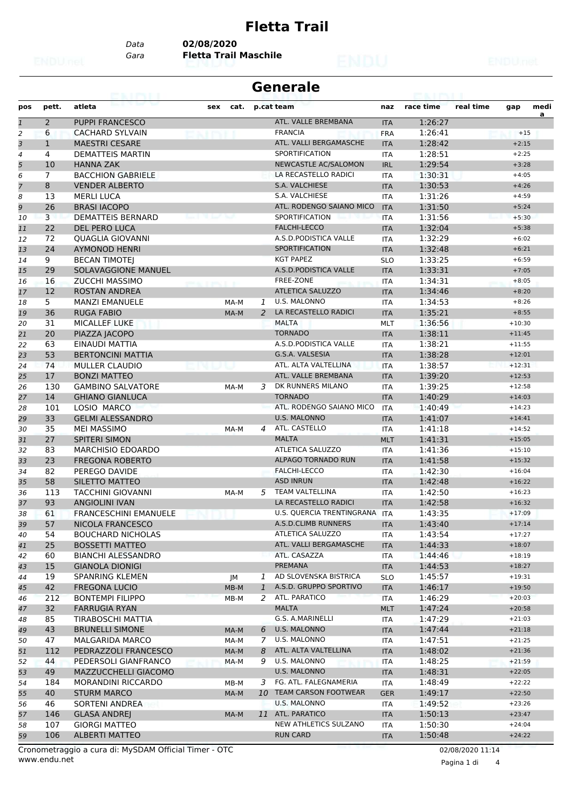### **Fletta Trail**

*Data* **02/08/2020**

*Gara* **Fletta Trail Maschile**

## **Generale**

| pos          | pett.          | atleta                       | sex cat.     |                | p.cat team                    | naz        | race time | real time | gap      | medi |
|--------------|----------------|------------------------------|--------------|----------------|-------------------------------|------------|-----------|-----------|----------|------|
| $\mathbf{1}$ | $\overline{2}$ | <b>PUPPI FRANCESCO</b>       |              |                | ATL. VALLE BREMBANA           | <b>ITA</b> | 1:26:27   |           |          | a    |
| 2            | 6              | <b>CACHARD SYLVAIN</b>       |              |                | <b>FRANCIA</b>                | <b>FRA</b> | 1:26:41   |           | $+15$    |      |
| 3            | $\mathbf{1}$   | <b>MAESTRI CESARE</b>        |              |                | ATL. VALLI BERGAMASCHE        | <b>ITA</b> | 1:28:42   |           | $+2:15$  |      |
| 4            | 4              | <b>DEMATTEIS MARTIN</b>      |              |                | <b>SPORTIFICATION</b>         | <b>ITA</b> | 1:28:51   |           | $+2:25$  |      |
| 5            | 10             | <b>HANNA ZAK</b>             |              |                | NEWCASTLE AC/SALOMON          | <b>IRL</b> | 1:29:54   |           | $+3:28$  |      |
| 6            | 7              | <b>BACCHION GABRIELE</b>     |              |                | LA RECASTELLO RADICI          | <b>ITA</b> | 1:30:31   |           | $+4:05$  |      |
| 7            | 8              | <b>VENDER ALBERTO</b>        |              |                | S.A. VALCHIESE                | <b>ITA</b> | 1:30:53   |           | $+4:26$  |      |
| 8            | 13             | <b>MERLI LUCA</b>            |              |                | S.A. VALCHIESE                | <b>ITA</b> | 1:31:26   |           | $+4:59$  |      |
| 9            | 26             | <b>BRASI IACOPO</b>          |              |                | ATL. RODENGO SAIANO MICO      | <b>ITA</b> | 1:31:50   |           | $+5:24$  |      |
| 10           | 3              | <b>DEMATTEIS BERNARD</b>     |              |                | SPORTIFICATION                | <b>ITA</b> | 1:31:56   |           | $+5:30$  |      |
| 11           | 22             | <b>DEL PERO LUCA</b>         |              |                | <b>FALCHI-LECCO</b>           | <b>ITA</b> | 1:32:04   |           | $+5:38$  |      |
| 12           | 72             | QUAGLIA GIOVANNI             |              |                | A.S.D.PODISTICA VALLE         | <b>ITA</b> | 1:32:29   |           | $+6:02$  |      |
| 13           | 24             | <b>AYMONOD HENRI</b>         |              |                | <b>SPORTIFICATION</b>         | <b>ITA</b> | 1:32:48   |           | $+6:21$  |      |
| 14           | 9              | <b>BECAN TIMOTEJ</b>         |              |                | <b>KGT PAPEZ</b>              | <b>SLO</b> | 1:33:25   |           | $+6:59$  |      |
| 15           | 29             | SOLAVAGGIONE MANUEL          |              |                | A.S.D.PODISTICA VALLE         | <b>ITA</b> | 1:33:31   |           | $+7:05$  |      |
| 16           | 16             | <b>ZUCCHI MASSIMO</b>        |              |                | <b>FREE-ZONE</b>              | ITA        | 1:34:31   |           | $+8:05$  |      |
| 17           | 12             | <b>ROSTAN ANDREA</b>         |              |                | <b>ATLETICA SALUZZO</b>       | <b>ITA</b> | 1:34:46   |           | $+8:20$  |      |
| 18           | 5              | <b>MANZI EMANUELE</b>        |              | 1              | <b>U.S. MALONNO</b>           | <b>ITA</b> | 1:34:53   |           | $+8:26$  |      |
| 19           | 36             | <b>RUGA FABIO</b>            | MA-M<br>MA-M | 2              | LA RECASTELLO RADICI          | <b>ITA</b> | 1:35:21   |           | $+8:55$  |      |
| 20           | 31             | <b>MICALLEF LUKE</b>         |              |                | <b>MALTA</b>                  |            | 1:36:56   |           | $+10:30$ |      |
|              | 20             |                              |              |                | <b>TORNADO</b>                | <b>MLT</b> | 1:38:11   |           | $+11:45$ |      |
| 21<br>22     | 63             | PIAZZA JACOPO                |              |                | A.S.D.PODISTICA VALLE         | <b>ITA</b> | 1:38:21   |           |          |      |
|              | 53             | EINAUDI MATTIA               |              |                | G.S.A. VALSESIA               | <b>ITA</b> |           |           | $+11:55$ |      |
| 23           |                | <b>BERTONCINI MATTIA</b>     |              |                | ATL. ALTA VALTELLINA          | <b>ITA</b> | 1:38:28   |           | $+12:01$ |      |
| 24           | 74             | <b>MULLER CLAUDIO</b>        |              |                |                               | <b>ITA</b> | 1:38:57   |           | $+12:31$ |      |
| 25           | 17             | <b>BONZI MATTEO</b>          |              |                | ATL. VALLE BREMBANA           | <b>ITA</b> | 1:39:20   |           | $+12:53$ |      |
| 26           | 130            | <b>GAMBINO SALVATORE</b>     | MA-M         | 3              | DK RUNNERS MILANO             | <b>ITA</b> | 1:39:25   |           | $+12:58$ |      |
| 27           | 14             | <b>GHIANO GIANLUCA</b>       |              |                | <b>TORNADO</b>                | <b>ITA</b> | 1:40:29   |           | $+14:03$ |      |
| 28           | 101            | LOSIO MARCO                  |              |                | ATL. RODENGO SAIANO MICO      | <b>ITA</b> | 1:40:49   |           | $+14:23$ |      |
| 29           | 33             | <b>GELMI ALESSANDRO</b>      |              |                | <b>U.S. MALONNO</b>           | <b>ITA</b> | 1:41:07   |           | $+14:41$ |      |
| 30           | 35             | <b>MEI MASSIMO</b>           | MA-M         | $\overline{a}$ | ATL. CASTELLO                 | ITA        | 1:41:18   |           | $+14:52$ |      |
| 31           | 27             | <b>SPITERI SIMON</b>         |              |                | <b>MALTA</b>                  | <b>MLT</b> | 1:41:31   |           | $+15:05$ |      |
| 32           | 83             | <b>MARCHISIO EDOARDO</b>     |              |                | ATLETICA SALUZZO              | <b>ITA</b> | 1:41:36   |           | $+15:10$ |      |
| 33           | 23             | <b>FREGONA ROBERTO</b>       |              |                | <b>ALPAGO TORNADO RUN</b>     | <b>ITA</b> | 1:41:58   |           | $+15:32$ |      |
| 34           | 82             | PEREGO DAVIDE                |              |                | FALCHI-LECCO                  | <b>ITA</b> | 1:42:30   |           | $+16:04$ |      |
| 35           | 58             | SILETTO MATTEO               |              |                | <b>ASD INRUN</b>              | <b>ITA</b> | 1:42:48   |           | $+16:22$ |      |
| 36           | 113            | <b>TACCHINI GIOVANNI</b>     | MA-M         | 5              | <b>TEAM VALTELLINA</b>        | ITA        | 1:42:50   |           | $+16:23$ |      |
| 37           | 93             | <b>ANGIOLINI IVAN</b>        |              |                | LA RECASTELLO RADICI          | <b>ITA</b> | 1:42:58   |           | $+16:32$ |      |
| 38           | 61             | <b>FRANCESCHINI EMANUELE</b> |              |                | U.S. QUERCIA TRENTINGRANA ITA |            | 1:43:35   |           | $+17:09$ |      |
| 39           | 57             | NICOLA FRANCESCO             |              |                | A.S.D.CLIMB RUNNERS           | <b>ITA</b> | 1:43:40   |           | $+17:14$ |      |
| 40           | 54             | <b>BOUCHARD NICHOLAS</b>     |              |                | ATLETICA SALUZZO              | ITA        | 1:43:54   |           | $+17:27$ |      |
| 41           | 25             | <b>BOSSETTI MATTEO</b>       |              |                | ATL. VALLI BERGAMASCHE        | <b>ITA</b> | 1:44:33   |           | $+18:07$ |      |
| 42           | 60             | <b>BIANCHI ALESSANDRO</b>    |              |                | ATL. CASAZZA                  | <b>ITA</b> | 1:44:46   |           | $+18:19$ |      |
| 43           | 15             | <b>GIANOLA DIONIGI</b>       |              |                | PREMANA                       | <b>ITA</b> | 1:44:53   |           | $+18:27$ |      |
| 44           | 19             | <b>SPANRING KLEMEN</b>       | JM           | 1              | AD SLOVENSKA BISTRICA         | <b>SLO</b> | 1:45:57   |           | $+19:31$ |      |
| 45           | 42             | <b>FREGONA LUCIO</b>         | MB-M         | 1              | A.S.D. GRUPPO SPORTIVO        | <b>ITA</b> | 1:46:17   |           | $+19:50$ |      |
| 46           | 212            | BONTEMPI FILIPPO             | MB-M         | 2              | ATL. PARATICO                 | <b>ITA</b> | 1:46:29   |           | $+20:03$ |      |
| 47           | 32             | <b>FARRUGIA RYAN</b>         |              |                | <b>MALTA</b>                  | <b>MLT</b> | 1:47:24   |           | $+20:58$ |      |
| 48           | 85             | TIRABOSCHI MATTIA            |              |                | G.S. A.MARINELLI              | ITA        | 1:47:29   |           | $+21:03$ |      |
| 49           | 43             | <b>BRUNELLI SIMONE</b>       | MA-M         |                | 6 U.S. MALONNO                | <b>ITA</b> | 1:47:44   |           | $+21:18$ |      |
| 50           | 47             | MALGARIDA MARCO              | MA-M         | $7^{\circ}$    | U.S. MALONNO                  | ITA        | 1:47:51   |           | $+21:25$ |      |
| 51           | 112            | PEDRAZZOLI FRANCESCO         | MA-M         | 8              | ATL. ALTA VALTELLINA          | <b>ITA</b> | 1:48:02   |           | $+21:36$ |      |
| 52           | 44             | PEDERSOLI GIANFRANCO         | MA-M         | 9              | U.S. MALONNO                  | <b>ITA</b> | 1:48:25   |           | $+21:59$ |      |
| 53           | 49             | <b>MAZZUCCHELLI GIACOMO</b>  |              |                | U.S. MALONNO                  | <b>ITA</b> | 1:48:31   |           | $+22:05$ |      |
| 54           | 184            | MORANDINI RICCARDO           | MB-M         |                | 3 FG. ATL. FALEGNAMERIA       | <b>ITA</b> | 1:48:49   |           | $+22:22$ |      |
| 55           | 40             | <b>STURM MARCO</b>           | MA-M         |                | 10 TEAM CARSON FOOTWEAR       | <b>GER</b> | 1:49:17   |           | $+22:50$ |      |
| 56           | 46             | SORTENI ANDREA               |              |                | U.S. MALONNO                  | ITA        | 1:49:52   |           | $+23:26$ |      |
| 57           | 146            | <b>GLASA ANDREJ</b>          | MA-M         |                | 11 ATL. PARATICO              | <b>ITA</b> | 1:50:13   |           | $+23:47$ |      |
| 58           | 107            | <b>GIORGI MATTEO</b>         |              |                | NEW ATHLETICS SULZANO         | <b>ITA</b> | 1:50:30   |           | $+24:04$ |      |
| 59           | 106            | <b>ALBERTI MATTEO</b>        |              |                | <b>RUN CARD</b>               | <b>ITA</b> | 1:50:48   |           | $+24:22$ |      |
|              |                |                              |              |                |                               |            |           |           |          |      |

www.endu.net Cronometraggio a cura di: MySDAM Official Timer - OTC 02/08/2020 11:14

Pagina 1 di 4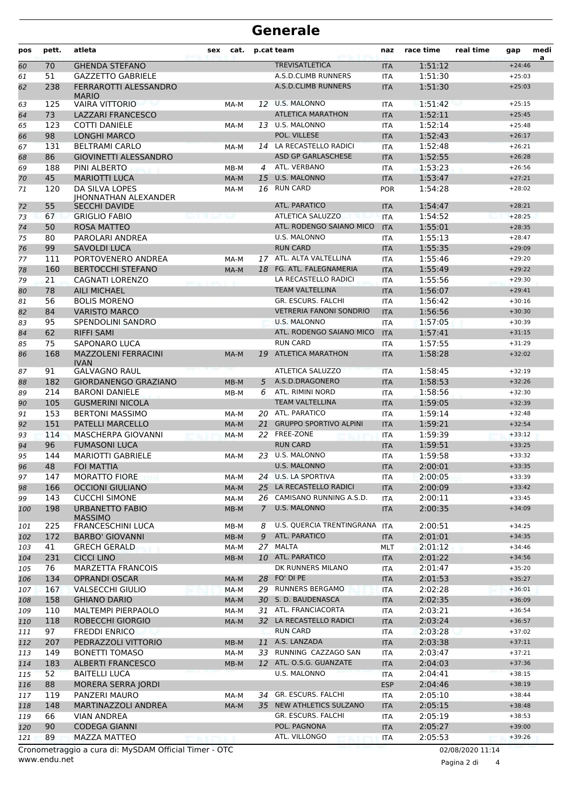# **Generale**

| pos | pett. | atleta                                                | <b>sex</b> | cat.   |             | p.cat team                     | naz        | race time | real time        | gap      | medi<br>a |
|-----|-------|-------------------------------------------------------|------------|--------|-------------|--------------------------------|------------|-----------|------------------|----------|-----------|
| 60  | 70    | <b>GHENDA STEFANO</b>                                 |            |        |             | <b>TREVISATLETICA</b>          | <b>ITA</b> | 1:51:12   |                  | $+24:46$ |           |
| 61  | 51    | <b>GAZZETTO GABRIELE</b>                              |            |        |             | A.S.D.CLIMB RUNNERS            | <b>ITA</b> | 1:51:30   |                  | $+25:03$ |           |
| 62  | 238   | FERRAROTTI ALESSANDRO<br><b>MARIO</b>                 |            |        |             | <b>A.S.D.CLIMB RUNNERS</b>     | <b>ITA</b> | 1:51:30   |                  | $+25:03$ |           |
| 63  | 125   | <b>VAIRA VITTORIO</b>                                 |            | MA-M   |             | 12 U.S. MALONNO                | <b>ITA</b> | 1:51:42   |                  | $+25:15$ |           |
| 64  | 73    | <b>LAZZARI FRANCESCO</b>                              |            |        |             | <b>ATLETICA MARATHON</b>       | <b>ITA</b> | 1:52:11   |                  | $+25:45$ |           |
| 65  | 123   | <b>COTTI DANIELE</b>                                  |            | MA-M   | 13          | U.S. MALONNO                   | <b>ITA</b> | 1:52:14   |                  | $+25:48$ |           |
| 66  | 98    | <b>LONGHI MARCO</b>                                   |            |        |             | POL. VILLESE                   | <b>ITA</b> | 1:52:43   |                  | $+26:17$ |           |
| 67  | 131   | <b>BELTRAMI CARLO</b>                                 |            | MA-M   |             | 14 LA RECASTELLO RADICI        | <b>ITA</b> | 1:52:48   |                  | $+26:21$ |           |
| 68  | 86    | <b>GIOVINETTI ALESSANDRO</b>                          |            |        |             | <b>ASD GP GARLASCHESE</b>      | <b>ITA</b> | 1:52:55   |                  | $+26:28$ |           |
| 69  | 188   | PINI ALBERTO                                          |            | $MB-M$ | 4           | ATL. VERBANO                   | <b>ITA</b> | 1:53:23   |                  | $+26:56$ |           |
| 70  | 45    | <b>MARIOTTI LUCA</b>                                  |            | MA-M   | 15          | <b>U.S. MALONNO</b>            | <b>ITA</b> | 1:53:47   |                  | $+27:21$ |           |
| 71  | 120   | DA SILVA LOPES<br><b>IHONNATHAN ALEXANDER</b>         |            | MA-M   |             | 16 RUN CARD                    | <b>POR</b> | 1:54:28   |                  | $+28:02$ |           |
| 72  | 55    | <b>SECCHI DAVIDE</b>                                  |            |        |             | ATL. PARATICO                  | <b>ITA</b> | 1:54:47   |                  | $+28:21$ |           |
| 73  | 67    | <b>GRIGLIO FABIO</b>                                  |            |        |             | ATLETICA SALUZZO               | <b>ITA</b> | 1:54:52   |                  | $+28:25$ |           |
| 74  | 50    | <b>ROSA MATTEO</b>                                    |            |        |             | ATL. RODENGO SAIANO MICO       | <b>ITA</b> | 1:55:01   |                  | $+28:35$ |           |
| 75  | 80    | PAROLARI ANDREA                                       |            |        |             | U.S. MALONNO                   | <b>ITA</b> | 1:55:13   |                  | $+28:47$ |           |
| 76  | 99    | <b>SAVOLDI LUCA</b>                                   |            |        |             | <b>RUN CARD</b>                | <b>ITA</b> | 1:55:35   |                  | $+29:09$ |           |
| 77  | 111   | PORTOVENERO ANDREA                                    |            | MA-M   |             | 17 ATL. ALTA VALTELLINA        | <b>ITA</b> | 1:55:46   |                  | $+29:20$ |           |
| 78  | 160   | <b>BERTOCCHI STEFANO</b>                              |            | MA-M   | 18          | FG. ATL. FALEGNAMERIA          | <b>ITA</b> | 1:55:49   |                  | $+29:22$ |           |
| 79  | 21    | CAGNATI LORENZO                                       |            |        |             | LA RECASTELLO RADICI           | <b>ITA</b> | 1:55:56   |                  | $+29:30$ |           |
| 80  | 78    | <b>AILI MICHAEL</b>                                   |            |        |             | <b>TEAM VALTELLINA</b>         | <b>ITA</b> | 1:56:07   |                  | $+29:41$ |           |
| 81  | 56    | <b>BOLIS MORENO</b>                                   |            |        |             | GR. ESCURS. FALCHI             | <b>ITA</b> | 1:56:42   |                  | $+30:16$ |           |
| 82  | 84    | <b>VARISTO MARCO</b>                                  |            |        |             | <b>VETRERIA FANONI SONDRIO</b> | <b>ITA</b> | 1:56:56   |                  | $+30:30$ |           |
| 83  | 95    | <b>SPENDOLINI SANDRO</b>                              |            |        |             | <b>U.S. MALONNO</b>            | <b>ITA</b> | 1:57:05   |                  | $+30:39$ |           |
| 84  | 62    | <b>RIFFI SAMI</b>                                     |            |        |             | ATL. RODENGO SAIANO MICO       | <b>ITA</b> | 1:57:41   |                  | $+31:15$ |           |
| 85  | 75    | SAPONARO LUCA                                         |            |        |             | <b>RUN CARD</b>                | <b>ITA</b> | 1:57:55   |                  | $+31:29$ |           |
| 86  | 168   | <b>MAZZOLENI FERRACINI</b><br><b>IVAN</b>             |            | MA-M   | 19          | <b>ATLETICA MARATHON</b>       | <b>ITA</b> | 1:58:28   |                  | $+32:02$ |           |
| 87  | 91    | <b>GALVAGNO RAUL</b>                                  |            |        |             | ATLETICA SALUZZO               | <b>ITA</b> | 1:58:45   |                  | $+32:19$ |           |
| 88  | 182   | <b>GIORDANENGO GRAZIANO</b>                           |            | $MB-M$ | 5           | A.S.D.DRAGONERO                | <b>ITA</b> | 1:58:53   |                  | $+32:26$ |           |
| 89  | 214   | <b>BARONI DANIELE</b>                                 |            | $MB-M$ | 6           | ATL. RIMINI NORD               | <b>ITA</b> | 1:58:56   |                  | $+32:30$ |           |
| 90  | 105   | <b>GUSMERINI NICOLA</b>                               |            |        |             | <b>TEAM VALTELLINA</b>         | <b>ITA</b> | 1:59:05   |                  | $+32:39$ |           |
| 91  | 153   | <b>BERTONI MASSIMO</b>                                |            | MA-M   |             | 20 ATL. PARATICO               | <b>ITA</b> | 1:59:14   |                  | $+32:48$ |           |
| 92  | 151   | <b>PATELLI MARCELLO</b>                               |            | MA-M   | 21          | <b>GRUPPO SPORTIVO ALPINI</b>  | <b>ITA</b> | 1:59:21   |                  | $+32:54$ |           |
| 93  | 114   | MASCHERPA GIOVANNI                                    |            | MA-M   |             | 22 FREE-ZONE                   | <b>ITA</b> | 1:59:39   |                  | $+33:12$ |           |
| 94  | 96    | <b>FUMASONI LUCA</b>                                  |            |        |             | <b>RUN CARD</b>                | <b>ITA</b> | 1:59:51   |                  | $+33:25$ |           |
| 95  | 144   | <b>MARIOTTI GABRIELE</b>                              |            | MA-M   | 23          | U.S. MALONNO                   | <b>ITA</b> | 1:59:58   |                  | $+33:32$ |           |
| 96  | 48    | <b>FOI MATTIA</b>                                     |            |        |             | <b>U.S. MALONNO</b>            | <b>ITA</b> | 2:00:01   |                  | $+33:35$ |           |
| 97  | 147   | <b>MORATTO FIORE</b>                                  |            | MA-M   |             | 24 U.S. LA SPORTIVA            | ITA        | 2:00:05   |                  | $+33:39$ |           |
| 98  | 166   | <b>OCCIONI GIULIANO</b>                               |            | MA-M   |             | 25 LA RECASTELLO RADICI        | <b>ITA</b> | 2:00:09   |                  | $+33:42$ |           |
| 99  | 143   | <b>CUCCHI SIMONE</b>                                  |            | MA-M   |             | 26 CAMISANO RUNNING A.S.D.     | <b>ITA</b> | 2:00:11   |                  | $+33:45$ |           |
| 100 | 198   | URBANETTO FABIO<br><b>MASSIMO</b>                     |            | $MB-M$ | $7^{\circ}$ | U.S. MALONNO                   | <b>ITA</b> | 2:00:35   |                  | $+34:09$ |           |
| 101 | 225   | <b>FRANCESCHINI LUCA</b>                              |            | MB-M   | 8           | U.S. QUERCIA TRENTINGRANA ITA  |            | 2:00:51   |                  | $+34:25$ |           |
| 102 | 172   | <b>BARBO' GIOVANNI</b>                                |            | $MB-M$ | 9           | ATL. PARATICO                  | <b>ITA</b> | 2:01:01   |                  | $+34:35$ |           |
| 103 | 41    | <b>GRECH GERALD</b>                                   |            | MA-M   |             | 27 MALTA                       | MLT        | 2:01:12   |                  | $+34:46$ |           |
| 104 | 231   | <b>CICCI LINO</b>                                     |            | $MB-M$ |             | 10 ATL. PARATICO               | <b>ITA</b> | 2:01:22   |                  | $+34:56$ |           |
| 105 | 76    | <b>MARZETTA FRANCOIS</b>                              |            |        |             | DK RUNNERS MILANO              | <b>ITA</b> | 2:01:47   |                  | $+35:20$ |           |
| 106 | 134   | <b>OPRANDI OSCAR</b>                                  |            | MA-M   |             | 28 FO' DI PE                   | <b>ITA</b> | 2:01:53   |                  | $+35:27$ |           |
| 107 | 167   | <b>VALSECCHI GIULIO</b>                               |            | MA-M   |             | 29 RUNNERS BERGAMO             | <b>ITA</b> | 2:02:28   |                  | $+36:01$ |           |
| 108 | 158   | <b>GHIANO DARIO</b>                                   |            | MA-M   |             | 30 S. D. BAUDENASCA            | <b>ITA</b> | 2:02:35   |                  | $+36:09$ |           |
| 109 | 110   | MALTEMPI PIERPAOLO                                    |            | MA-M   |             | 31 ATL. FRANCIACORTA           | ITA        | 2:03:21   |                  | $+36:54$ |           |
| 110 | 118   | <b>ROBECCHI GIORGIO</b>                               |            | MA-M   |             | 32 LA RECASTELLO RADICI        | <b>ITA</b> | 2:03:24   |                  | $+36:57$ |           |
| 111 | 97    | <b>FREDDI ENRICO</b>                                  |            |        |             | <b>RUN CARD</b>                | ITA        | 2:03:28   |                  | $+37:02$ |           |
| 112 | 207   | PEDRAZZOLI VITTORIO                                   |            | MB-M   | 11          | A.S. LANZADA                   | <b>ITA</b> | 2:03:38   |                  | $+37:11$ |           |
| 113 | 149   | <b>BONETTI TOMASO</b>                                 |            | MA-M   |             | 33 RUNNING CAZZAGO SAN         | <b>ITA</b> | 2:03:47   |                  | $+37:21$ |           |
| 114 | 183   | <b>ALBERTI FRANCESCO</b>                              |            | $MB-M$ |             | 12 ATL. O.S.G. GUANZATE        | <b>ITA</b> | 2:04:03   |                  | $+37:36$ |           |
| 115 | 52    | <b>BAITELLI LUCA</b>                                  |            |        |             | U.S. MALONNO                   | ITA        | 2:04:41   |                  | $+38:15$ |           |
| 116 | 88    | MORERA SERRA JORDI                                    |            |        |             |                                | <b>ESP</b> | 2:04:46   |                  | $+38:19$ |           |
| 117 | 119   | PANZERI MAURO                                         |            | MA-M   | 34          | GR. ESCURS. FALCHI             | ITA        | 2:05:10   |                  | $+38:44$ |           |
| 118 | 148   | MARTINAZZOLI ANDREA                                   |            | MA-M   |             | 35 NEW ATHLETICS SULZANO       | <b>ITA</b> | 2:05:15   |                  | $+38:48$ |           |
| 119 | 66    | VIAN ANDREA                                           |            |        |             | GR. ESCURS. FALCHI             | <b>ITA</b> | 2:05:19   |                  | $+38:53$ |           |
| 120 | 90    | <b>CODEGA GIANNI</b>                                  |            |        |             | POL. PAGNONA                   | <b>ITA</b> | 2:05:27   |                  | $+39:00$ |           |
| 121 | 89    | <b>MAZZA MATTEO</b>                                   |            |        |             | ATL. VILLONGO                  | <b>ITA</b> | 2:05:53   |                  | $+39:26$ |           |
|     |       | Cronometraggio a cura di: MySDAM Official Timer - OTC |            |        |             |                                |            |           | 02/08/2020 11:14 |          |           |

www.endu.net

Pagina 2 di 4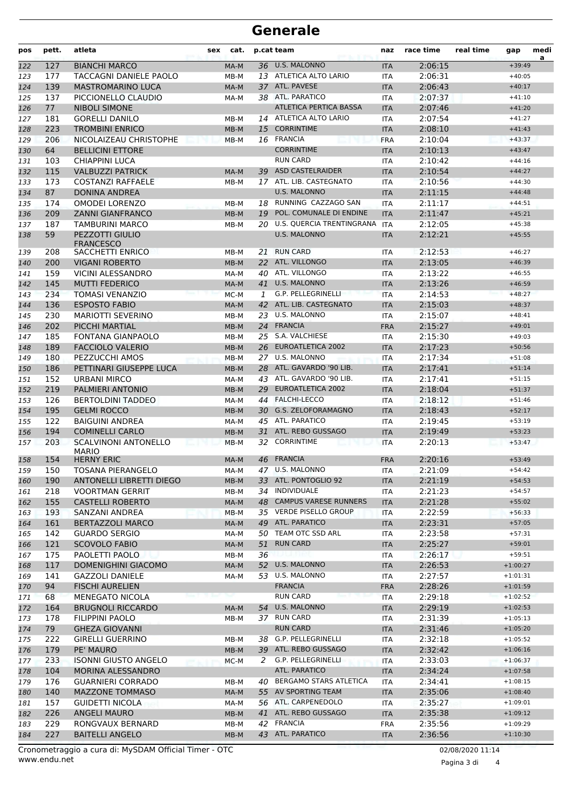### **Generale**

| pos        | pett.      | atleta                                    | sex | cat.             |    | p.cat team                                           | naz                      | race time          | real time | gap                  | medi<br>a |
|------------|------------|-------------------------------------------|-----|------------------|----|------------------------------------------------------|--------------------------|--------------------|-----------|----------------------|-----------|
| 122        | 127        | <b>BIANCHI MARCO</b>                      |     | MA-M             |    | 36 U.S. MALONNO                                      | <b>ITA</b>               | 2:06:15            |           | $+39:49$             |           |
| 123        | 177        | TACCAGNI DANIELE PAOLO                    |     | MB-M             |    | 13 ATLETICA ALTO LARIO                               | <b>ITA</b>               | 2:06:31            |           | $+40:05$             |           |
| 124        | 139        | <b>MASTROMARINO LUCA</b>                  |     | MA-M             |    | 37 ATL. PAVESE                                       | <b>ITA</b>               | 2:06:43            |           | $+40:17$             |           |
| 125        | 137        | PICCIONELLO CLAUDIO                       |     | MA-M             |    | 38 ATL. PARATICO                                     | <b>ITA</b>               | 2:07:37            |           | $+41:10$             |           |
| 126        | 77         | <b>NIBOLI SIMONE</b>                      |     |                  |    | <b>ATLETICA PERTICA BASSA</b>                        | <b>ITA</b>               | 2:07:46            |           | $+41:20$             |           |
| 127        | 181        | <b>GORELLI DANILO</b>                     |     | MB-M             |    | 14 ATLETICA ALTO LARIO                               | <b>ITA</b>               | 2:07:54            |           | $+41:27$             |           |
| 128        | 223        | <b>TROMBINI ENRICO</b>                    |     | $MB-M$           | 15 | <b>CORRINTIME</b>                                    | <b>ITA</b>               | 2:08:10            |           | $+41:43$             |           |
| 129        | 206        | NICOLAIZEAU CHRISTOPHE                    |     | $MB-M$           |    | 16 FRANCIA                                           | <b>FRA</b>               | 2:10:04            |           | $+43:37$             |           |
| 130        | 64         | <b>BELLICINI ETTORE</b>                   |     |                  |    | <b>CORRINTIME</b>                                    | <b>ITA</b>               | 2:10:13            |           | $+43:47$             |           |
| 131        | 103        | CHIAPPINI LUCA                            |     |                  |    | <b>RUN CARD</b>                                      | <b>ITA</b>               | 2:10:42            |           | $+44:16$             |           |
| 132        | 115        | <b>VALBUZZI PATRICK</b>                   |     | MA-M             | 39 | <b>ASD CASTELRAIDER</b>                              | <b>ITA</b>               | 2:10:54            |           | $+44:27$             |           |
| 133        | 173        | <b>COSTANZI RAFFAELE</b>                  |     | MB-M             |    | 17 ATL. LIB. CASTEGNATO                              | <b>ITA</b>               | 2:10:56            |           | $+44:30$             |           |
| 134        | 87         | <b>DONINA ANDREA</b>                      |     |                  |    | <b>U.S. MALONNO</b>                                  | <b>ITA</b>               | 2:11:15            |           | $+44:48$             |           |
| 135        | 174        | <b>OMODEI LORENZO</b>                     |     | MB-M             |    | 18 RUNNING CAZZAGO SAN                               | <b>ITA</b>               | 2:11:17            |           | $+44:51$             |           |
| 136        | 209        | <b>ZANNI GIANFRANCO</b>                   |     | $MB-M$           | 19 | POL. COMUNALE DI ENDINE<br>U.S. QUERCIA TRENTINGRANA | <b>ITA</b>               | 2:11:47            |           | $+45:21$             |           |
| 137        | 187        | TAMBURINI MARCO                           |     | MB-M             | 20 | <b>U.S. MALONNO</b>                                  | <b>ITA</b>               | 2:12:05            |           | $+45:38$             |           |
| 138        | 59         | PEZZOTTI GIULIO<br><b>FRANCESCO</b>       |     |                  |    |                                                      | <b>ITA</b>               | 2:12:21            |           | $+45:55$             |           |
| 139        | 208        | SACCHETTI ENRICO                          |     | MB-M             | 21 | <b>RUN CARD</b>                                      | <b>ITA</b>               | 2:12:53            |           | $+46:27$             |           |
| 140        | 200        | <b>VIGANI ROBERTO</b>                     |     | $MB-M$           |    | 22 ATL. VILLONGO                                     | <b>ITA</b>               | 2:13:05            |           | $+46:39$             |           |
| 141        | 159        | VICINI ALESSANDRO                         |     | MA-M             | 40 | ATL. VILLONGO                                        | <b>ITA</b>               | 2:13:22            |           | $+46:55$             |           |
| 142        | 145        | <b>MUTTI FEDERICO</b>                     |     | MA-M             |    | 41 U.S. MALONNO                                      | <b>ITA</b>               | 2:13:26            |           | $+46:59$             |           |
| 143        | 234        | <b>TOMASI VENANZIO</b>                    |     | MC-M             | 1  | G.P. PELLEGRINELLI                                   | <b>ITA</b>               | 2:14:53            |           | $+48:27$             |           |
| 144        | 136        | <b>ESPOSTO FABIO</b>                      |     | MA-M             | 42 | ATL. LIB. CASTEGNATO                                 | <b>ITA</b>               | 2:15:03            |           | $+48:37$             |           |
| 145        | 230        | <b>MARIOTTI SEVERINO</b>                  |     | MB-M             | 23 | U.S. MALONNO                                         | <b>ITA</b>               | 2:15:07            |           | $+48:41$             |           |
| 146        | 202        | <b>PICCHI MARTIAL</b>                     |     | MB-M             |    | 24 FRANCIA                                           | <b>FRA</b>               | 2:15:27            |           | $+49:01$             |           |
| 147        | 185        | FONTANA GIANPAOLO                         |     | MB-M             |    | 25 S.A. VALCHIESE<br>26 EUROATLETICA 2002            | <b>ITA</b>               | 2:15:30            |           | $+49:03$             |           |
| 148        | 189<br>180 | <b>FACCIOLO VALERIO</b><br>PEZZUCCHI AMOS |     | $MB-M$           |    | 27 U.S. MALONNO                                      | <b>ITA</b>               | 2:17:23<br>2:17:34 |           | $+50:56$<br>$+51:08$ |           |
| 149<br>150 | 186        | PETTINARI GIUSEPPE LUCA                   |     | $MB-M$<br>$MB-M$ |    | 28 ATL. GAVARDO '90 LIB.                             | <b>ITA</b><br><b>ITA</b> | 2:17:41            |           | $+51:14$             |           |
| 151        | 152        | <b>URBANI MIRCO</b>                       |     | MA-M             |    | 43 ATL. GAVARDO '90 LIB.                             | <b>ITA</b>               | 2:17:41            |           | $+51:15$             |           |
| 152        | 219        | PALMIERI ANTONIO                          |     | MB-M             | 29 | <b>EUROATLETICA 2002</b>                             | <b>ITA</b>               | 2:18:04            |           | $+51:37$             |           |
| 153        | 126        | <b>BERTOLDINI TADDEO</b>                  |     | MA-M             |    | 44 FALCHI-LECCO                                      | <b>ITA</b>               | 2:18:12            |           | $+51:46$             |           |
| 154        | 195        | <b>GELMI ROCCO</b>                        |     | $MB-M$           |    | 30 G.S. ZELOFORAMAGNO                                | <b>ITA</b>               | 2:18:43            |           | $+52:17$             |           |
| 155        | 122        | <b>BAIGUINI ANDREA</b>                    |     | MA-M             |    | 45 ATL. PARATICO                                     | <b>ITA</b>               | 2:19:45            |           | $+53:19$             |           |
| 156        | 194        | <b>COMINELLI CARLO</b>                    |     | MB-M             | 31 | ATL. REBO GUSSAGO                                    | <b>ITA</b>               | 2:19:49            |           | $+53:23$             |           |
| 157        | 203        | <b>SCALVINONI ANTONELLO</b>               |     | MB-M             | 32 | <b>CORRINTIME</b>                                    | <b>ITA</b>               | 2:20:13            |           | $+53:47$             |           |
| 158        | 154        | <b>MARIO</b><br><b>HERNY ERIC</b>         |     | MA-M             |    | 46 FRANCIA                                           | <b>FRA</b>               | 2:20:16            |           | $+53:49$             |           |
| 159        | 150        | TOSANA PIERANGELO                         |     | MA-M             |    | 47 U.S. MALONNO                                      | <b>ITA</b>               | 2:21:09            |           | $+54:42$             |           |
| 160        | 190        | ANTONELLI LIBRETTI DIEGO                  |     | MB-M             |    | 33 ATL. PONTOGLIO 92                                 | <b>ITA</b>               | 2:21:19            |           | $+54:53$             |           |
| 161        | 218        | <b>VOORTMAN GERRIT</b>                    |     | MB-M             |    | 34 INDIVIDUALE                                       | ITA                      | 2:21:23            |           | $+54:57$             |           |
| 162        | 155        | <b>CASTELLI ROBERTO</b>                   |     | MA-M             |    | 48 CAMPUS VARESE RUNNERS                             | <b>ITA</b>               | 2:21:28            |           | $+55:02$             |           |
| 163        | 193        | SANZANI ANDREA                            |     | $MB-M$           |    | 35 VERDE PISELLO GROUP                               | ITA                      | 2:22:59            |           | $+56:33$             |           |
| 164        | 161        | <b>BERTAZZOLI MARCO</b>                   |     | MA-M             |    | 49 ATL. PARATICO                                     | <b>ITA</b>               | 2:23:31            |           | $+57:05$             |           |
| 165        | 142        | <b>GUARDO SERGIO</b>                      |     | MA-M             |    | 50 TEAM OTC SSD ARL                                  | ITA                      | 2:23:58            |           | $+57:31$             |           |
| 166        | 121        | <b>SCOVOLO FABIO</b>                      |     | MA-M             | 51 | <b>RUN CARD</b>                                      | <b>ITA</b>               | 2:25:27            |           | $+59:01$             |           |
| 167        | 175        | PAOLETTI PAOLO                            |     | MB-M             | 36 |                                                      | ITA                      | 2:26:17            |           | $+59:51$             |           |
| 168        | 117        | DOMENIGHINI GIACOMO                       |     | MA-M             |    | 52 U.S. MALONNO                                      | <b>ITA</b>               | 2:26:53            |           | $+1:00:27$           |           |
| 169        | 141        | <b>GAZZOLI DANIELE</b>                    |     | MA-M             | 53 | U.S. MALONNO                                         | ITA                      | 2:27:57            |           | $+1:01:31$           |           |
| 170        | 94         | <b>FISCHI AURELIEN</b>                    |     |                  |    | <b>FRANCIA</b>                                       | <b>FRA</b>               | 2:28:26            |           | $+1:01:59$           |           |
| 171        | 68         | MENEGATO NICOLA                           |     |                  |    | <b>RUN CARD</b>                                      | ITA                      | 2:29:18            |           | $+1:02:52$           |           |
| 172        | 164        | <b>BRUGNOLI RICCARDO</b>                  |     | MA-M             | 54 | U.S. MALONNO                                         | <b>ITA</b>               | 2:29:19            |           | $+1:02:53$           |           |
| 173        | 178        | <b>FILIPPINI PAOLO</b>                    |     | MB-M             |    | 37 RUN CARD                                          | ITA                      | 2:31:39            |           | $+1:05:13$           |           |
| 174        | 79         | <b>GHEZA GIOVANNI</b>                     |     |                  |    | <b>RUN CARD</b>                                      | <b>ITA</b>               | 2:31:46            |           | $+1:05:20$           |           |
| 175        | 222        | <b>GIRELLI GUERRINO</b>                   |     | MB-M             |    | 38 G.P. PELLEGRINELLI                                | ITA                      | 2:32:18            |           | $+1:05:52$           |           |
| 176        | 179        | PE' MAURO                                 |     | $MB-M$           |    | 39 ATL. REBO GUSSAGO                                 | <b>ITA</b>               | 2:32:42            |           | $+1:06:16$           |           |
| 177        | 233        | <b>ISONNI GIUSTO ANGELO</b>               |     | MC-M             | 2  | G.P. PELLEGRINELLI                                   | ITA                      | 2:33:03            |           | $+1:06:37$           |           |
| 178        | 104        | MORINA ALESSANDRO                         |     |                  |    | ATL. PARATICO                                        | <b>ITA</b>               | 2:34:24            |           | $+1:07:58$           |           |
| 179        | 176        | <b>GUARNIERI CORRADO</b>                  |     | MB-M             |    | 40 BERGAMO STARS ATLETICA                            | ITA                      | 2:34:41            |           | $+1:08:15$           |           |
| 180        | 140        | <b>MAZZONE TOMMASO</b>                    |     | MA-M             |    | 55 AV SPORTING TEAM                                  | <b>ITA</b>               | 2:35:06            |           | $+1:08:40$           |           |
| 181        | 157        | <b>GUIDETTI NICOLA</b>                    |     | MA-M             |    | 56 ATL. CARPENEDOLO                                  | ITA                      | 2:35:27            |           | $+1:09:01$           |           |
| 182        | 226        | <b>ANGELI MAURO</b>                       |     | $MB-M$           |    | 41 ATL. REBO GUSSAGO                                 | <b>ITA</b>               | 2:35:38            |           | $+1:09:12$           |           |
| 183        | 229        | RONGVAUX BERNARD                          |     | MB-M             |    | 42 FRANCIA                                           | <b>FRA</b>               | 2:35:56            |           | $+1:09:29$           |           |
| 184        | 227        | <b>BAITELLI ANGELO</b>                    |     | MB-M             |    | 43 ATL. PARATICO                                     | <b>ITA</b>               | 2:36:56            |           | $+1:10:30$           |           |

Pagina 3 di 4